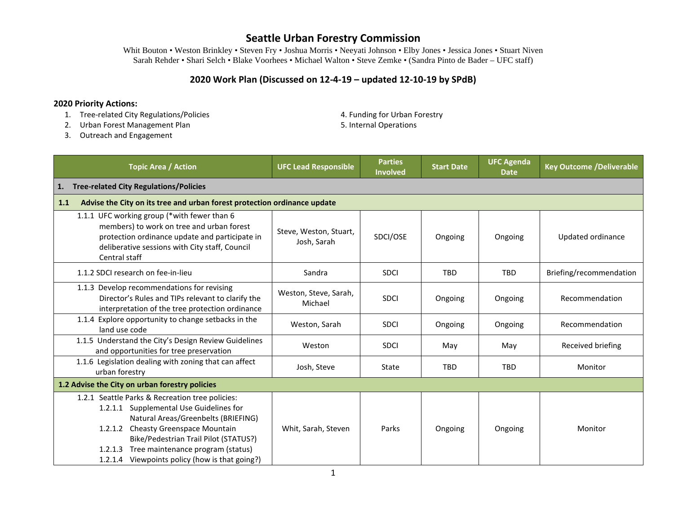Whit Bouton • Weston Brinkley • Steven Fry • Joshua Morris • Neeyati Johnson • Elby Jones • Jessica Jones • Stuart Niven Sarah Rehder • Shari Selch • Blake Voorhees • Michael Walton • Steve Zemke • (Sandra Pinto de Bader – UFC staff)

### **2020 Work Plan (Discussed on 12-4-19 – updated 12-10-19 by SPdB)**

#### **2020 Priority Actions:**

- 1. Tree-related City Regulations/Policies **4. Funding for Urban Forestry**
- 2. Urban Forest Management Plan 5. Internal Operations 6. Internal Operations
- -

3. Outreach and Engagement

| <b>Topic Area / Action</b>                                                                                                                                                                                                                                                                                                    | <b>UFC Lead Responsible</b>                                              | <b>Parties</b><br><b>Involved</b> | <b>Start Date</b> | <b>UFC Agenda</b><br><b>Date</b> | <b>Key Outcome /Deliverable</b> |  |  |
|-------------------------------------------------------------------------------------------------------------------------------------------------------------------------------------------------------------------------------------------------------------------------------------------------------------------------------|--------------------------------------------------------------------------|-----------------------------------|-------------------|----------------------------------|---------------------------------|--|--|
| <b>Tree-related City Regulations/Policies</b><br>1.                                                                                                                                                                                                                                                                           |                                                                          |                                   |                   |                                  |                                 |  |  |
| 1.1                                                                                                                                                                                                                                                                                                                           | Advise the City on its tree and urban forest protection ordinance update |                                   |                   |                                  |                                 |  |  |
| 1.1.1 UFC working group (*with fewer than 6<br>members) to work on tree and urban forest<br>protection ordinance update and participate in<br>deliberative sessions with City staff, Council<br>Central staff                                                                                                                 | Steve, Weston, Stuart,<br>Josh, Sarah                                    | SDCI/OSE                          | Ongoing           | Ongoing                          | Updated ordinance               |  |  |
| 1.1.2 SDCI research on fee-in-lieu                                                                                                                                                                                                                                                                                            | Sandra                                                                   | <b>SDCI</b>                       | <b>TBD</b>        | <b>TBD</b>                       | Briefing/recommendation         |  |  |
| 1.1.3 Develop recommendations for revising<br>Director's Rules and TIPs relevant to clarify the<br>interpretation of the tree protection ordinance                                                                                                                                                                            | Weston, Steve, Sarah,<br>Michael                                         | <b>SDCI</b>                       | Ongoing           | Ongoing                          | Recommendation                  |  |  |
| 1.1.4 Explore opportunity to change setbacks in the<br>land use code                                                                                                                                                                                                                                                          | Weston, Sarah                                                            | <b>SDCI</b>                       | Ongoing           | Ongoing                          | Recommendation                  |  |  |
| 1.1.5 Understand the City's Design Review Guidelines<br>and opportunities for tree preservation                                                                                                                                                                                                                               | Weston                                                                   | <b>SDCI</b>                       | May               | May                              | Received briefing               |  |  |
| 1.1.6 Legislation dealing with zoning that can affect<br>urban forestry                                                                                                                                                                                                                                                       | Josh, Steve                                                              | State                             | <b>TBD</b>        | <b>TBD</b>                       | Monitor                         |  |  |
| 1.2 Advise the City on urban forestry policies                                                                                                                                                                                                                                                                                |                                                                          |                                   |                   |                                  |                                 |  |  |
| 1.2.1 Seattle Parks & Recreation tree policies:<br>1.2.1.1 Supplemental Use Guidelines for<br>Natural Areas/Greenbelts (BRIEFING)<br><b>Cheasty Greenspace Mountain</b><br>1.2.1.2<br>Bike/Pedestrian Trail Pilot (STATUS?)<br>Tree maintenance program (status)<br>1.2.1.3<br>1.2.1.4 Viewpoints policy (how is that going?) | Whit, Sarah, Steven                                                      | Parks                             | Ongoing           | Ongoing                          | Monitor                         |  |  |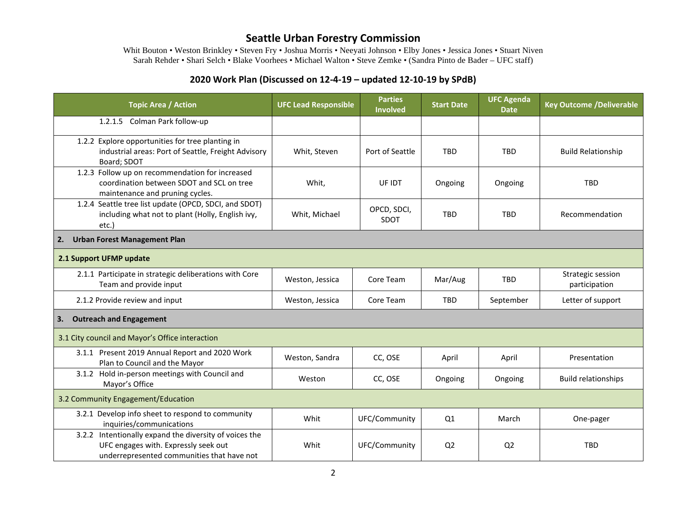Whit Bouton • Weston Brinkley • Steven Fry • Joshua Morris • Neeyati Johnson • Elby Jones • Jessica Jones • Stuart Niven Sarah Rehder • Shari Selch • Blake Voorhees • Michael Walton • Steve Zemke • (Sandra Pinto de Bader – UFC staff)

### **2020 Work Plan (Discussed on 12-4-19 – updated 12-10-19 by SPdB)**

| <b>Topic Area / Action</b>                                                                                                                   | <b>UFC Lead Responsible</b> | <b>Parties</b><br><b>Involved</b> | <b>Start Date</b> | <b>UFC Agenda</b><br><b>Date</b> | <b>Key Outcome /Deliverable</b>    |  |
|----------------------------------------------------------------------------------------------------------------------------------------------|-----------------------------|-----------------------------------|-------------------|----------------------------------|------------------------------------|--|
| 1.2.1.5 Colman Park follow-up                                                                                                                |                             |                                   |                   |                                  |                                    |  |
| 1.2.2 Explore opportunities for tree planting in<br>industrial areas: Port of Seattle, Freight Advisory<br>Board; SDOT                       | Whit, Steven                | Port of Seattle                   | <b>TBD</b>        | <b>TBD</b>                       | <b>Build Relationship</b>          |  |
| 1.2.3 Follow up on recommendation for increased<br>coordination between SDOT and SCL on tree<br>maintenance and pruning cycles.              | Whit,                       | UF IDT                            | Ongoing           | Ongoing                          | <b>TBD</b>                         |  |
| 1.2.4 Seattle tree list update (OPCD, SDCI, and SDOT)<br>including what not to plant (Holly, English ivy,<br>etc.)                           | Whit, Michael               | OPCD, SDCI,<br>SDOT               | <b>TBD</b>        | <b>TBD</b>                       | Recommendation                     |  |
| <b>Urban Forest Management Plan</b><br>2.                                                                                                    |                             |                                   |                   |                                  |                                    |  |
| 2.1 Support UFMP update                                                                                                                      |                             |                                   |                   |                                  |                                    |  |
| 2.1.1 Participate in strategic deliberations with Core<br>Team and provide input                                                             | Weston, Jessica             | Core Team                         | Mar/Aug           | <b>TBD</b>                       | Strategic session<br>participation |  |
| 2.1.2 Provide review and input                                                                                                               | Weston, Jessica             | Core Team                         | <b>TBD</b>        | September                        | Letter of support                  |  |
| <b>Outreach and Engagement</b><br>3.                                                                                                         |                             |                                   |                   |                                  |                                    |  |
| 3.1 City council and Mayor's Office interaction                                                                                              |                             |                                   |                   |                                  |                                    |  |
| 3.1.1 Present 2019 Annual Report and 2020 Work<br>Plan to Council and the Mayor                                                              | Weston, Sandra              | CC, OSE                           | April             | April                            | Presentation                       |  |
| 3.1.2 Hold in-person meetings with Council and<br>Mayor's Office                                                                             | Weston                      | CC, OSE                           | Ongoing           | Ongoing                          | <b>Build relationships</b>         |  |
| 3.2 Community Engagement/Education                                                                                                           |                             |                                   |                   |                                  |                                    |  |
| 3.2.1 Develop info sheet to respond to community<br>inquiries/communications                                                                 | Whit                        | UFC/Community                     | Q1                | March                            | One-pager                          |  |
| 3.2.2 Intentionally expand the diversity of voices the<br>UFC engages with. Expressly seek out<br>underrepresented communities that have not | Whit                        | UFC/Community                     | Q <sub>2</sub>    | Q <sub>2</sub>                   | <b>TBD</b>                         |  |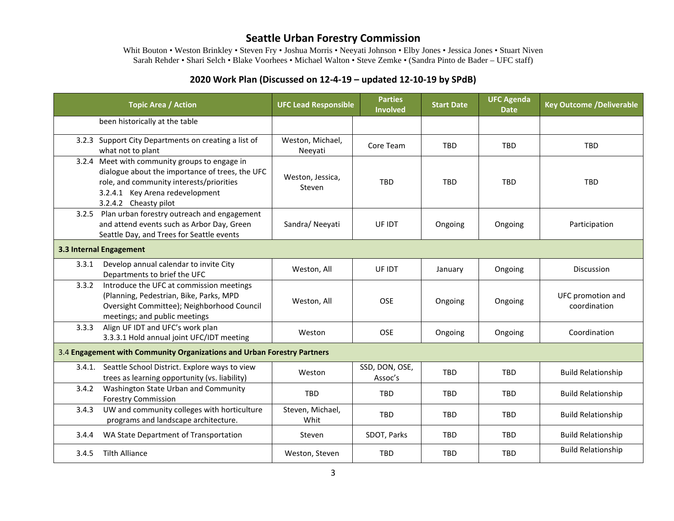Whit Bouton • Weston Brinkley • Steven Fry • Joshua Morris • Neeyati Johnson • Elby Jones • Jessica Jones • Stuart Niven Sarah Rehder • Shari Selch • Blake Voorhees • Michael Walton • Steve Zemke • (Sandra Pinto de Bader – UFC staff)

### **2020 Work Plan (Discussed on 12-4-19 – updated 12-10-19 by SPdB)**

|                                                                         | <b>Topic Area / Action</b>                                                                                                                                                                               | <b>UFC Lead Responsible</b> | <b>Parties</b><br><b>Involved</b> | <b>Start Date</b> | <b>UFC Agenda</b><br><b>Date</b> | <b>Key Outcome /Deliverable</b>   |  |  |
|-------------------------------------------------------------------------|----------------------------------------------------------------------------------------------------------------------------------------------------------------------------------------------------------|-----------------------------|-----------------------------------|-------------------|----------------------------------|-----------------------------------|--|--|
|                                                                         | been historically at the table                                                                                                                                                                           |                             |                                   |                   |                                  |                                   |  |  |
|                                                                         | 3.2.3 Support City Departments on creating a list of<br>what not to plant                                                                                                                                | Weston, Michael,<br>Neeyati | Core Team                         | <b>TBD</b>        | <b>TBD</b>                       | <b>TBD</b>                        |  |  |
|                                                                         | 3.2.4 Meet with community groups to engage in<br>dialogue about the importance of trees, the UFC<br>role, and community interests/priorities<br>3.2.4.1 Key Arena redevelopment<br>3.2.4.2 Cheasty pilot | Weston, Jessica,<br>Steven  | <b>TBD</b>                        | <b>TBD</b>        | <b>TRD</b>                       | <b>TBD</b>                        |  |  |
|                                                                         | 3.2.5 Plan urban forestry outreach and engagement<br>and attend events such as Arbor Day, Green<br>Seattle Day, and Trees for Seattle events                                                             | Sandra/Neeyati              | UF IDT                            | Ongoing           | Ongoing                          | Participation                     |  |  |
| 3.3 Internal Engagement                                                 |                                                                                                                                                                                                          |                             |                                   |                   |                                  |                                   |  |  |
| 3.3.1                                                                   | Develop annual calendar to invite City<br>Departments to brief the UFC                                                                                                                                   | Weston, All                 | UF IDT                            | January           | Ongoing                          | <b>Discussion</b>                 |  |  |
| 3.3.2                                                                   | Introduce the UFC at commission meetings<br>(Planning, Pedestrian, Bike, Parks, MPD<br>Oversight Committee); Neighborhood Council<br>meetings; and public meetings                                       | Weston, All                 | <b>OSE</b>                        | Ongoing           | Ongoing                          | UFC promotion and<br>coordination |  |  |
| 3.3.3                                                                   | Align UF IDT and UFC's work plan<br>3.3.3.1 Hold annual joint UFC/IDT meeting                                                                                                                            | Weston                      | <b>OSE</b>                        | Ongoing           | Ongoing                          | Coordination                      |  |  |
| 3.4 Engagement with Community Organizations and Urban Forestry Partners |                                                                                                                                                                                                          |                             |                                   |                   |                                  |                                   |  |  |
| 3.4.1.                                                                  | Seattle School District. Explore ways to view<br>trees as learning opportunity (vs. liability)                                                                                                           | Weston                      | SSD, DON, OSE,<br>Assoc's         | <b>TBD</b>        | <b>TBD</b>                       | <b>Build Relationship</b>         |  |  |
| 3.4.2                                                                   | Washington State Urban and Community<br><b>Forestry Commission</b>                                                                                                                                       | <b>TBD</b>                  | <b>TBD</b>                        | <b>TBD</b>        | <b>TBD</b>                       | <b>Build Relationship</b>         |  |  |
| 3.4.3                                                                   | UW and community colleges with horticulture<br>programs and landscape architecture.                                                                                                                      | Steven, Michael,<br>Whit    | TBD                               | <b>TBD</b>        | <b>TBD</b>                       | <b>Build Relationship</b>         |  |  |
| 3.4.4                                                                   | WA State Department of Transportation                                                                                                                                                                    | Steven                      | SDOT, Parks                       | <b>TBD</b>        | <b>TBD</b>                       | <b>Build Relationship</b>         |  |  |
| 3.4.5                                                                   | <b>Tilth Alliance</b>                                                                                                                                                                                    | Weston, Steven              | <b>TBD</b>                        | <b>TBD</b>        | <b>TBD</b>                       | <b>Build Relationship</b>         |  |  |